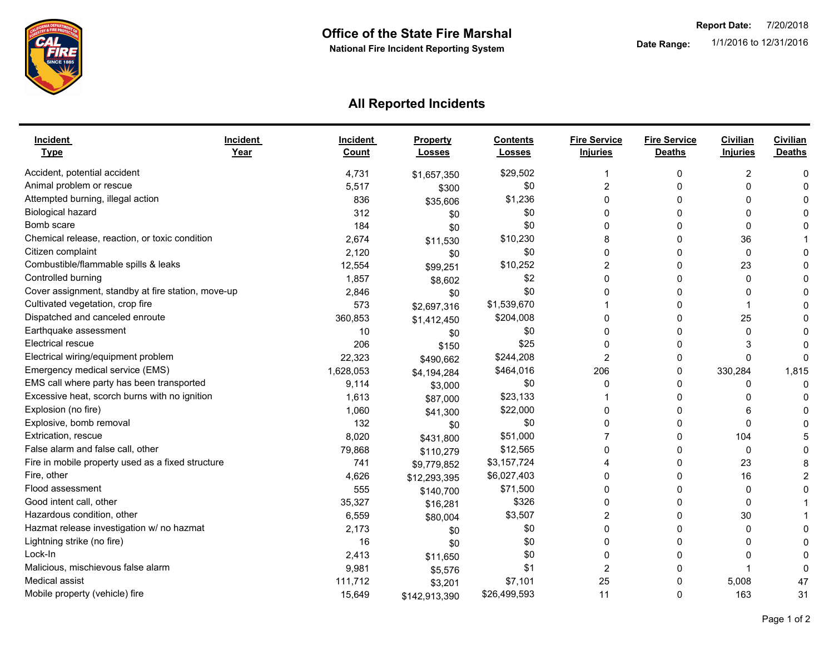

## **All Reported Incidents**

| <b>Incident</b><br><b>Type</b>                     | Incident<br>Year | <b>Incident</b><br>Count | Property<br><b>Losses</b> | <b>Contents</b><br><b>Losses</b> | <b>Fire Service</b><br><b>Injuries</b> | <b>Fire Service</b><br><b>Deaths</b> | Civilian<br><b>Injuries</b> | <b>Civilian</b><br><b>Deaths</b> |
|----------------------------------------------------|------------------|--------------------------|---------------------------|----------------------------------|----------------------------------------|--------------------------------------|-----------------------------|----------------------------------|
| Accident, potential accident                       |                  | 4,731                    | \$1,657,350               | \$29,502                         |                                        | 0                                    | 2                           | C                                |
| Animal problem or rescue                           |                  | 5,517                    | \$300                     | \$0                              | $\overline{2}$                         | 0                                    | 0                           |                                  |
| Attempted burning, illegal action                  |                  | 836                      | \$35,606                  | \$1,236                          | $\Omega$                               | 0                                    | 0                           |                                  |
| <b>Biological hazard</b>                           |                  | 312                      | \$0                       | \$0                              | $\Omega$                               | 0                                    | 0                           |                                  |
| Bomb scare                                         |                  | 184                      | \$0                       | \$0                              | $\Omega$                               | 0                                    | $\mathbf{0}$                |                                  |
| Chemical release, reaction, or toxic condition     |                  | 2,674                    | \$11,530                  | \$10,230                         | 8                                      | 0                                    | 36                          |                                  |
| Citizen complaint                                  |                  | 2,120                    | \$0                       | \$0                              | $\Omega$                               | 0                                    | $\mathbf{0}$                |                                  |
| Combustible/flammable spills & leaks               |                  | 12,554                   | \$99,251                  | \$10,252                         | 2                                      | 0                                    | 23                          |                                  |
| Controlled burning                                 |                  | 1,857                    | \$8,602                   | \$2                              | $\Omega$                               | 0                                    | $\mathbf{0}$                |                                  |
| Cover assignment, standby at fire station, move-up |                  | 2,846                    | \$0                       | \$0                              |                                        | 0                                    | 0                           |                                  |
| Cultivated vegetation, crop fire                   |                  | 573                      | \$2,697,316               | \$1,539,670                      |                                        | 0                                    |                             |                                  |
| Dispatched and canceled enroute                    |                  | 360,853                  | \$1,412,450               | \$204,008                        |                                        | 0                                    | 25                          |                                  |
| Earthquake assessment                              |                  | 10                       | \$0                       | \$0                              |                                        | 0                                    | 0                           |                                  |
| <b>Electrical rescue</b>                           |                  | 206                      | \$150                     | \$25                             |                                        | 0                                    | 3                           |                                  |
| Electrical wiring/equipment problem                |                  | 22,323                   | \$490,662                 | \$244,208                        | 2                                      | 0                                    | 0                           | C                                |
| Emergency medical service (EMS)                    |                  | 1,628,053                | \$4,194,284               | \$464,016                        | 206                                    | 0                                    | 330,284                     | 1,815                            |
| EMS call where party has been transported          |                  | 9,114                    | \$3,000                   | \$0                              | $\Omega$                               | 0                                    | 0                           | C                                |
| Excessive heat, scorch burns with no ignition      |                  | 1,613                    | \$87,000                  | \$23,133                         |                                        | 0                                    | 0                           |                                  |
| Explosion (no fire)                                |                  | 1,060                    | \$41,300                  | \$22,000                         | <sup>0</sup>                           | 0                                    | 6                           |                                  |
| Explosive, bomb removal                            |                  | 132                      | \$0                       | \$0                              | 0                                      | 0                                    | 0                           |                                  |
| Extrication, rescue                                |                  | 8,020                    | \$431,800                 | \$51,000                         |                                        | 0                                    | 104                         |                                  |
| False alarm and false call, other                  |                  | 79,868                   | \$110,279                 | \$12,565                         | $\Omega$                               | 0                                    | 0                           |                                  |
| Fire in mobile property used as a fixed structure  |                  | 741                      | \$9,779,852               | \$3,157,724                      |                                        | 0                                    | 23                          | 8                                |
| Fire, other                                        |                  | 4,626                    | \$12,293,395              | \$6,027,403                      | $\Omega$                               | 0                                    | 16                          | 2                                |
| Flood assessment                                   |                  | 555                      | \$140,700                 | \$71,500                         | $\Omega$                               | 0                                    | 0                           |                                  |
| Good intent call, other                            |                  | 35,327                   | \$16,281                  | \$326                            |                                        | 0                                    | 0                           |                                  |
| Hazardous condition, other                         |                  | 6,559                    | \$80,004                  | \$3,507                          | 2                                      | 0                                    | 30                          |                                  |
| Hazmat release investigation w/ no hazmat          |                  | 2,173                    | \$0                       | \$0                              | 0                                      | 0                                    | 0                           |                                  |
| Lightning strike (no fire)                         |                  | 16                       | \$0                       | \$0                              | $\Omega$                               | 0                                    | 0                           |                                  |
| Lock-In                                            |                  | 2,413                    | \$11,650                  | \$0                              | $\Omega$                               | 0                                    | 0                           |                                  |
| Malicious, mischievous false alarm                 |                  | 9,981                    | \$5,576                   | \$1                              | 2                                      | 0                                    |                             |                                  |
| Medical assist                                     |                  | 111,712                  | \$3,201                   | \$7,101                          | 25                                     | 0                                    | 5,008                       | 47                               |
| Mobile property (vehicle) fire                     |                  | 15,649                   | \$142,913,390             | \$26,499,593                     | 11                                     | 0                                    | 163                         | 31                               |